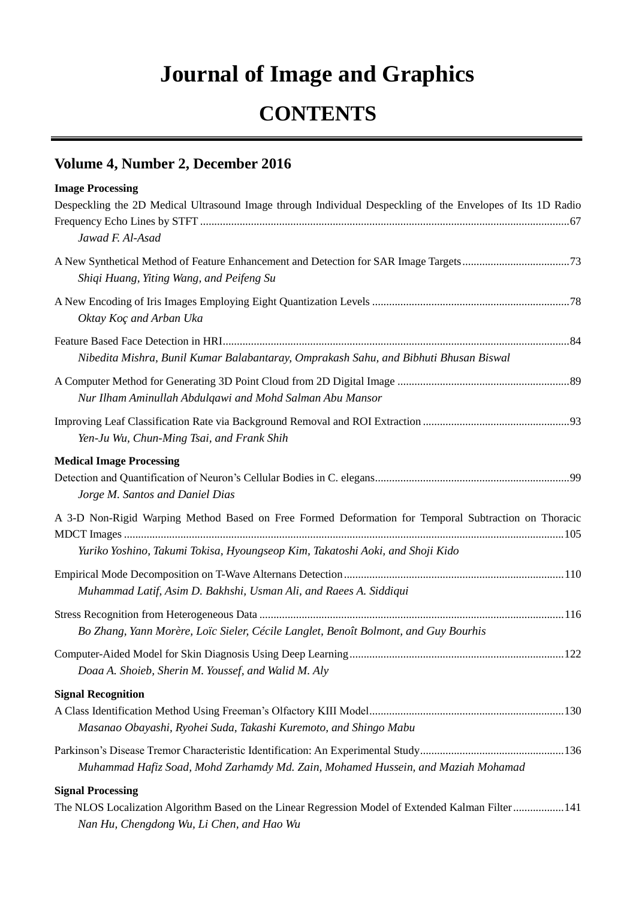## **Journal of Image and Graphics**

## **CONTENTS**

## **Volume 4, Number 2, December 2016**

*Nan Hu, Chengdong Wu, Li Chen, and Hao Wu*

| <b>Image Processing</b>                                                                                                                                                               |  |
|---------------------------------------------------------------------------------------------------------------------------------------------------------------------------------------|--|
| Despeckling the 2D Medical Ultrasound Image through Individual Despeckling of the Envelopes of Its 1D Radio                                                                           |  |
| Jawad F. Al-Asad                                                                                                                                                                      |  |
| Shiqi Huang, Yiting Wang, and Peifeng Su                                                                                                                                              |  |
| Oktay Ko çand Arban Uka                                                                                                                                                               |  |
| Nibedita Mishra, Bunil Kumar Balabantaray, Omprakash Sahu, and Bibhuti Bhusan Biswal                                                                                                  |  |
| Nur Ilham Aminullah Abdulqawi and Mohd Salman Abu Mansor                                                                                                                              |  |
| Yen-Ju Wu, Chun-Ming Tsai, and Frank Shih                                                                                                                                             |  |
| <b>Medical Image Processing</b><br>Jorge M. Santos and Daniel Dias                                                                                                                    |  |
| A 3-D Non-Rigid Warping Method Based on Free Formed Deformation for Temporal Subtraction on Thoracic<br>Yuriko Yoshino, Takumi Tokisa, Hyoungseop Kim, Takatoshi Aoki, and Shoji Kido |  |
| Muhammad Latif, Asim D. Bakhshi, Usman Ali, and Raees A. Siddiqui                                                                                                                     |  |
| Bo Zhang, Yann Mor ère, Lo <i>c</i> Sieler, C écile Langlet, Beno t Bolmont, and Guy Bourhis                                                                                          |  |
| Doaa A. Shoieb, Sherin M. Youssef, and Walid M. Aly                                                                                                                                   |  |
| <b>Signal Recognition</b><br>Masanao Obayashi, Ryohei Suda, Takashi Kuremoto, and Shingo Mabu                                                                                         |  |
| Muhammad Hafiz Soad, Mohd Zarhamdy Md. Zain, Mohamed Hussein, and Maziah Mohamad                                                                                                      |  |
| <b>Signal Processing</b><br>The NLOS Localization Algorithm Based on the Linear Regression Model of Extended Kalman Filter141                                                         |  |